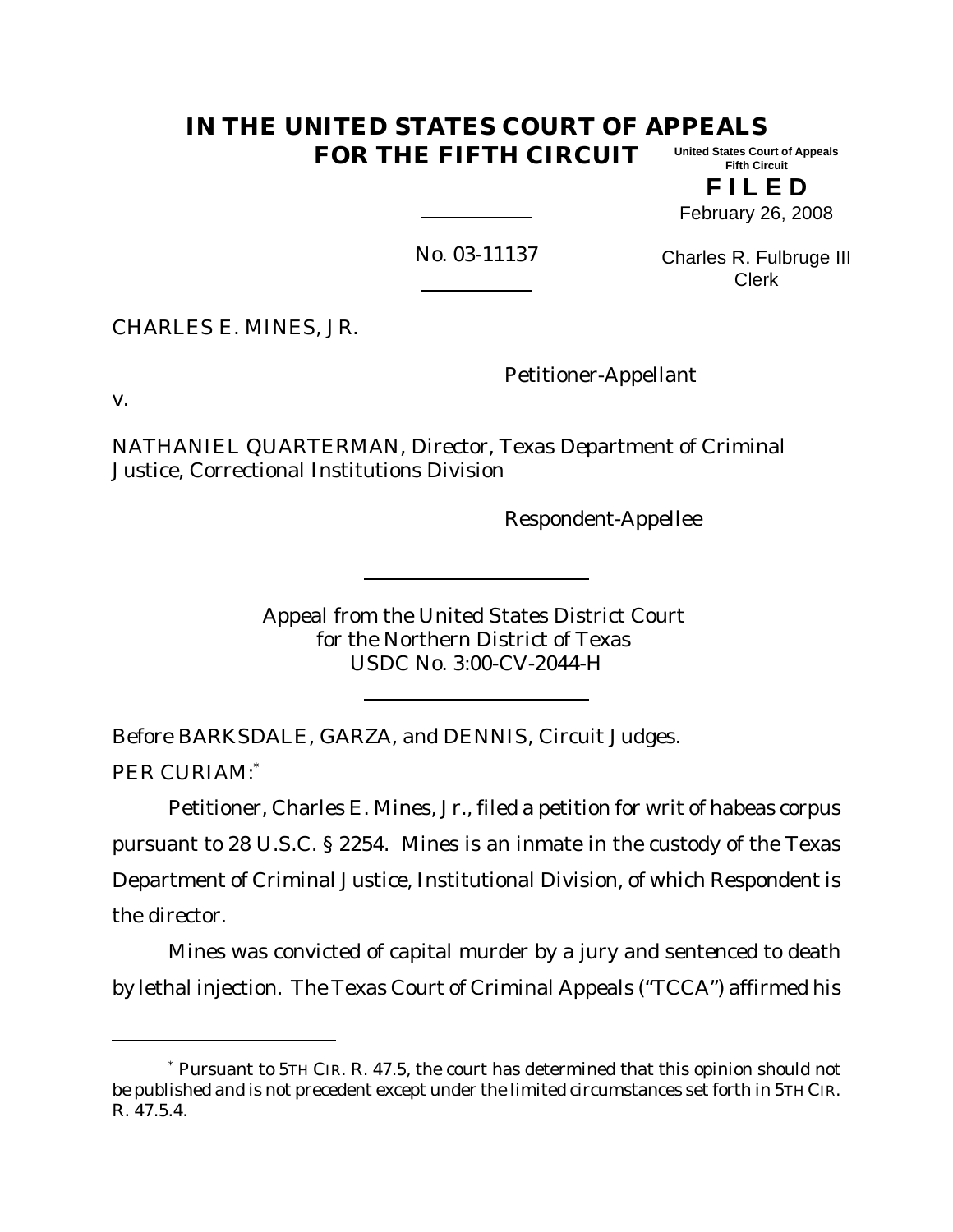#### **IN THE UNITED STATES COURT OF APPEALS FOR THE FIFTH CIRCUIT United States Court of Appeals Fifth Circuit**

**F I L E D** February 26, 2008

No. 03-11137

Charles R. Fulbruge III Clerk

CHARLES E. MINES, JR.

Petitioner-Appellant

v.

NATHANIEL QUARTERMAN, Director, Texas Department of Criminal Justice, Correctional Institutions Division

Respondent-Appellee

Appeal from the United States District Court for the Northern District of Texas USDC No. 3:00-CV-2044-H

Before BARKSDALE, GARZA, and DENNIS, Circuit Judges. PER CURIAM:\*

Petitioner, Charles E. Mines, Jr., filed a petition for writ of habeas corpus pursuant to 28 U.S.C. § 2254. Mines is an inmate in the custody of the Texas Department of Criminal Justice, Institutional Division, of which Respondent is the director.

Mines was convicted of capital murder by a jury and sentenced to death by lethal injection. The Texas Court of Criminal Appeals ("TCCA") affirmed his

<sup>\*</sup> Pursuant to 5TH CIR. R. 47.5, the court has determined that this opinion should not be published and is not precedent except under the limited circumstances set forth in 5TH CIR. R. 47.5.4.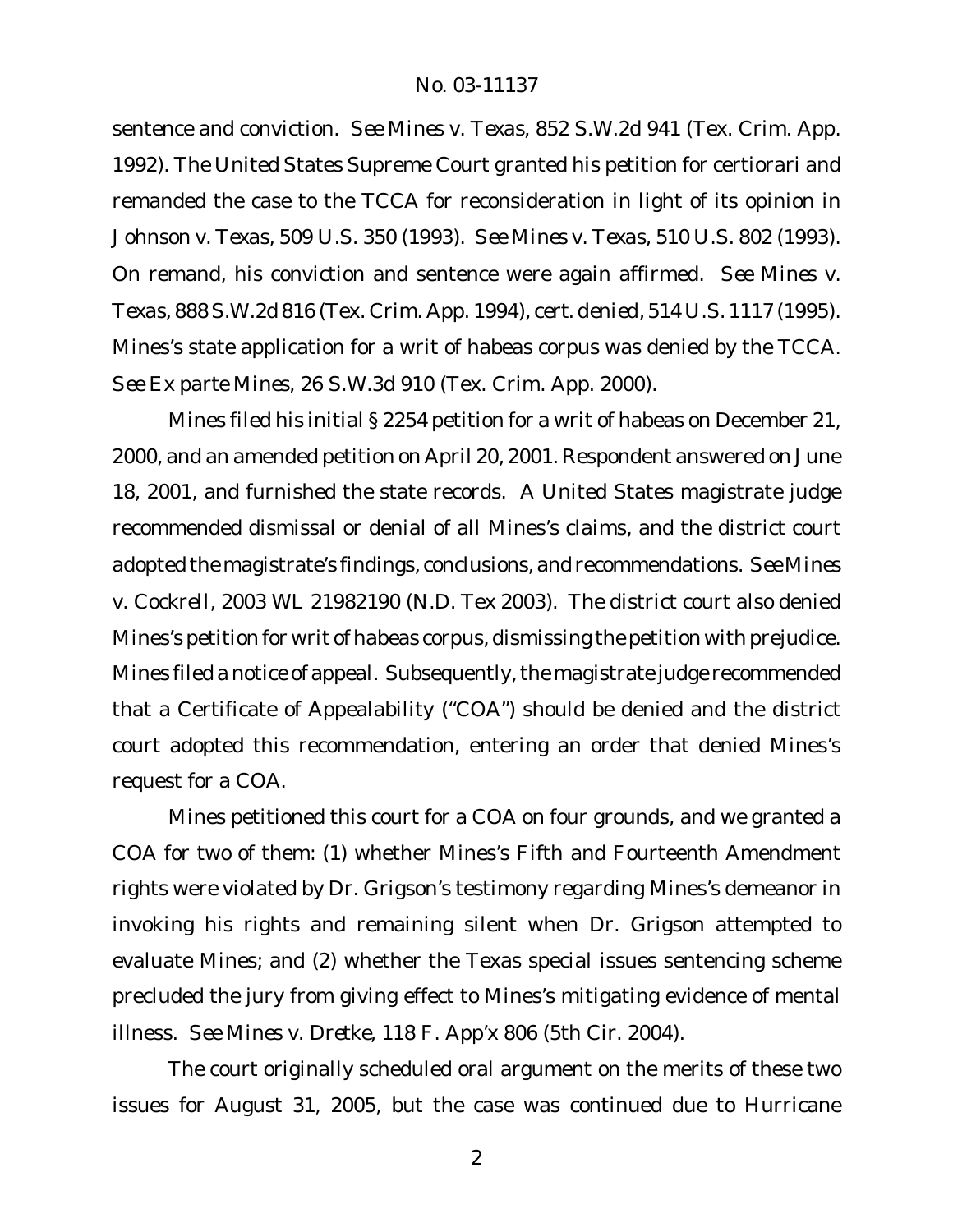sentence and conviction. *See Mines v. Texas*, 852 S.W.2d 941 (Tex. Crim. App. 1992). The United States Supreme Court granted his petition for certiorari and remanded the case to the TCCA for reconsideration in light of its opinion in *Johnson v. Texas*, 509 U.S. 350 (1993). *See Mines v. Texas*, 510 U.S. 802 (1993). On remand, his conviction and sentence were again affirmed. *See Mines v. Texas*, 888 S.W.2d 816 (Tex. Crim. App. 1994), *cert. denied*, 514 U.S. 1117 (1995). Mines's state application for a writ of habeas corpus was denied by the TCCA. *See Ex parte Mines*, 26 S.W.3d 910 (Tex. Crim. App. 2000).

Mines filed his initial § 2254 petition for a writ of habeas on December 21, 2000, and an amended petition on April 20, 2001. Respondent answered on June 18, 2001, and furnished the state records. A United States magistrate judge recommended dismissal or denial of all Mines's claims, and the district court adopted the magistrate's findings, conclusions, and recommendations. *See Mines v. Cockrell*, 2003 WL 21982190 (N.D. Tex 2003). The district court also denied Mines's petition for writ of habeas corpus, dismissing the petition with prejudice. Mines filed a notice of appeal. Subsequently, the magistrate judge recommended that a Certificate of Appealability ("COA") should be denied and the district court adopted this recommendation, entering an order that denied Mines's request for a COA.

Mines petitioned this court for a COA on four grounds, and we granted a COA for two of them: (1) whether Mines's Fifth and Fourteenth Amendment rights were violated by Dr. Grigson's testimony regarding Mines's demeanor in invoking his rights and remaining silent when Dr. Grigson attempted to evaluate Mines; and (2) whether the Texas special issues sentencing scheme precluded the jury from giving effect to Mines's mitigating evidence of mental illness. *See Mines v. Dretke,* 118 F. App'x 806 (5th Cir. 2004).

The court originally scheduled oral argument on the merits of these two issues for August 31, 2005, but the case was continued due to Hurricane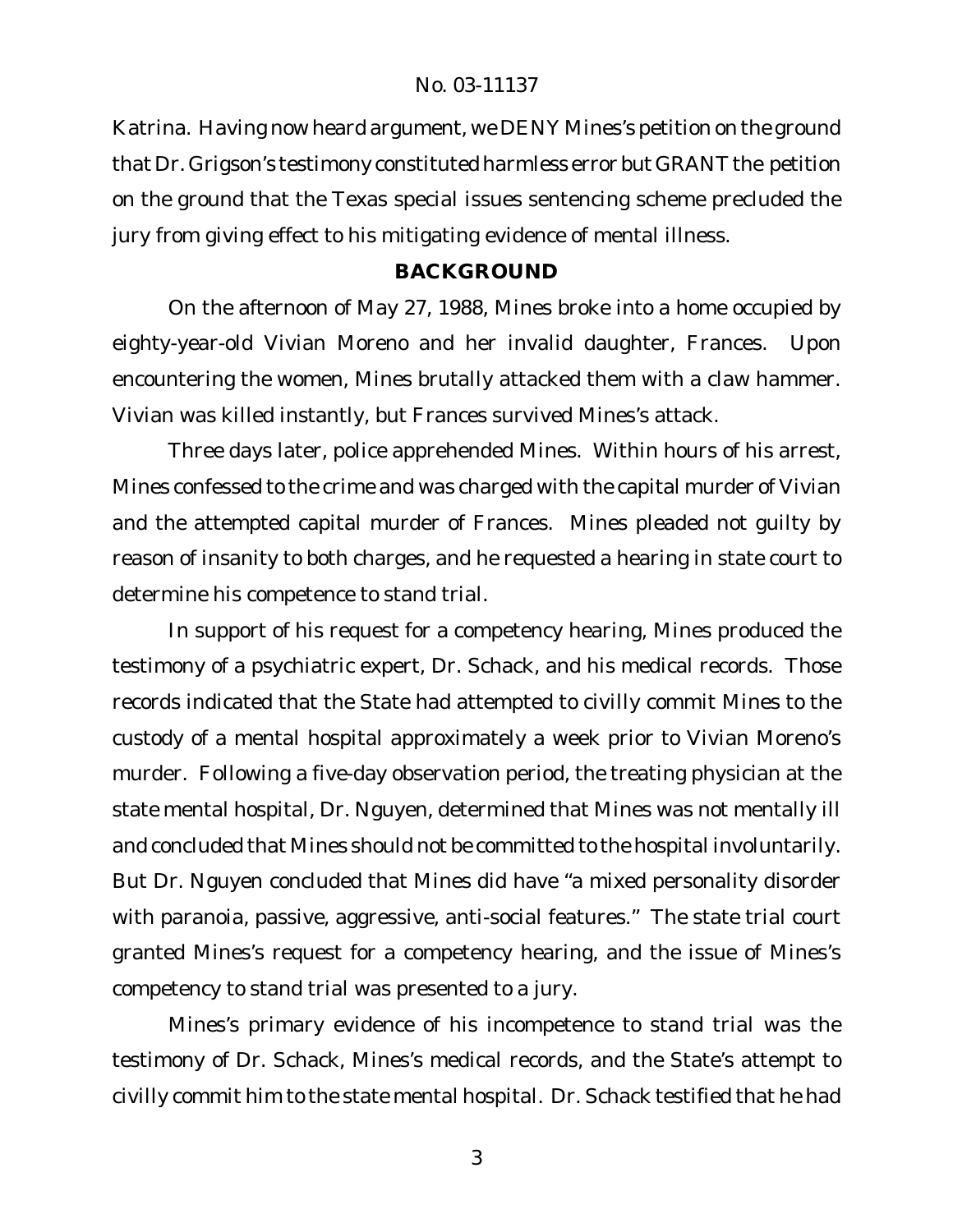Katrina. Having now heard argument, we DENY Mines's petition on the ground that Dr. Grigson's testimony constituted harmless error but GRANT the petition on the ground that the Texas special issues sentencing scheme precluded the jury from giving effect to his mitigating evidence of mental illness.

# **BACKGROUND**

On the afternoon of May 27, 1988, Mines broke into a home occupied by eighty-year-old Vivian Moreno and her invalid daughter, Frances. Upon encountering the women, Mines brutally attacked them with a claw hammer. Vivian was killed instantly, but Frances survived Mines's attack.

Three days later, police apprehended Mines. Within hours of his arrest, Mines confessed to the crime and was charged with the capital murder of Vivian and the attempted capital murder of Frances. Mines pleaded not guilty by reason of insanity to both charges, and he requested a hearing in state court to determine his competence to stand trial.

In support of his request for a competency hearing, Mines produced the testimony of a psychiatric expert, Dr. Schack, and his medical records. Those records indicated that the State had attempted to civilly commit Mines to the custody of a mental hospital approximately a week prior to Vivian Moreno's murder. Following a five-day observation period, the treating physician at the state mental hospital, Dr. Nguyen, determined that Mines was not mentally ill and concluded that Mines should not be committed to the hospital involuntarily. But Dr. Nguyen concluded that Mines did have "a mixed personality disorder with paranoia, passive, aggressive, anti-social features." The state trial court granted Mines's request for a competency hearing, and the issue of Mines's competency to stand trial was presented to a jury.

Mines's primary evidence of his incompetence to stand trial was the testimony of Dr. Schack, Mines's medical records, and the State's attempt to civilly commit him to the state mental hospital. Dr. Schack testified that he had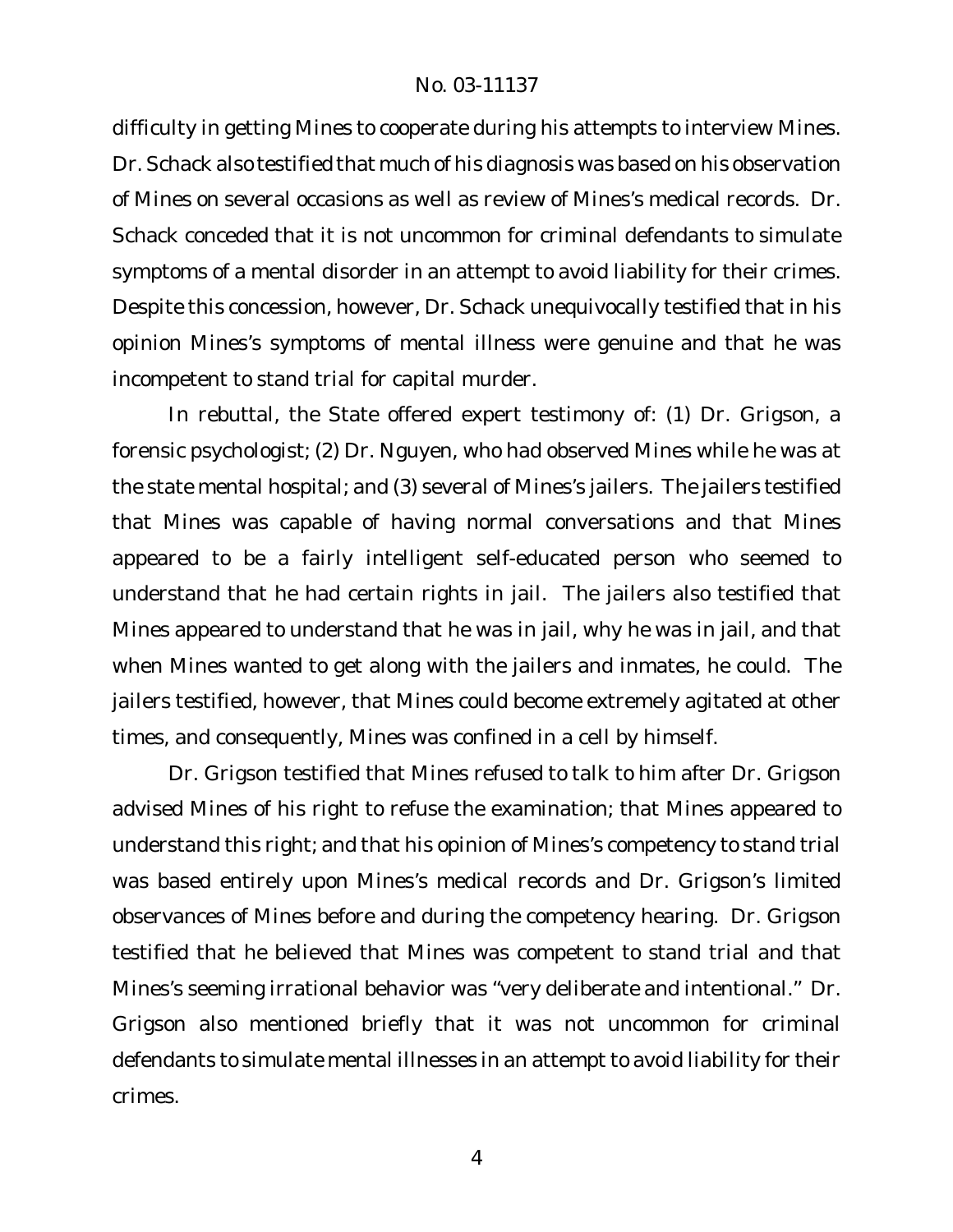difficulty in getting Mines to cooperate during his attempts to interview Mines. Dr. Schack also testified that much of his diagnosis was based on his observation of Mines on several occasions as well as review of Mines's medical records. Dr. Schack conceded that it is not uncommon for criminal defendants to simulate symptoms of a mental disorder in an attempt to avoid liability for their crimes. Despite this concession, however, Dr. Schack unequivocally testified that in his opinion Mines's symptoms of mental illness were genuine and that he was incompetent to stand trial for capital murder.

In rebuttal, the State offered expert testimony of: (1) Dr. Grigson, a forensic psychologist; (2) Dr. Nguyen, who had observed Mines while he was at the state mental hospital; and (3) several of Mines's jailers. The jailers testified that Mines was capable of having normal conversations and that Mines appeared to be a fairly intelligent self-educated person who seemed to understand that he had certain rights in jail. The jailers also testified that Mines appeared to understand that he was in jail, why he was in jail, and that when Mines wanted to get along with the jailers and inmates, he could. The jailers testified, however, that Mines could become extremely agitated at other times, and consequently, Mines was confined in a cell by himself.

Dr. Grigson testified that Mines refused to talk to him after Dr. Grigson advised Mines of his right to refuse the examination; that Mines appeared to understand this right; and that his opinion of Mines's competency to stand trial was based entirely upon Mines's medical records and Dr. Grigson's limited observances of Mines before and during the competency hearing. Dr. Grigson testified that he believed that Mines was competent to stand trial and that Mines's seeming irrational behavior was "very deliberate and intentional." Dr. Grigson also mentioned briefly that it was not uncommon for criminal defendants to simulate mental illnesses in an attempt to avoid liability for their crimes.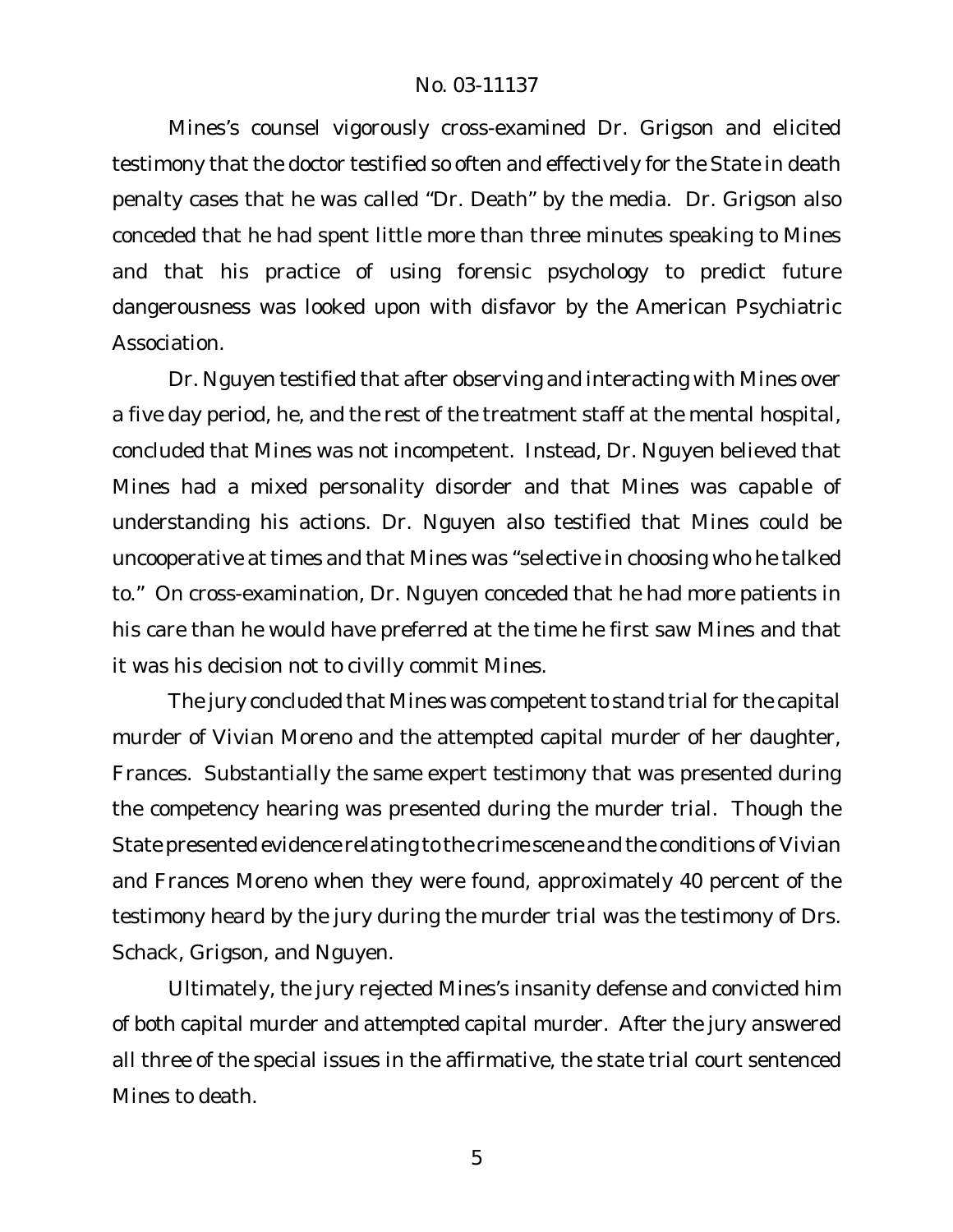Mines's counsel vigorously cross-examined Dr. Grigson and elicited testimony that the doctor testified so often and effectively for the State in death penalty cases that he was called "Dr. Death" by the media. Dr. Grigson also conceded that he had spent little more than three minutes speaking to Mines and that his practice of using forensic psychology to predict future dangerousness was looked upon with disfavor by the American Psychiatric Association.

Dr. Nguyen testified that after observing and interacting with Mines over a five day period, he, and the rest of the treatment staff at the mental hospital, concluded that Mines was not incompetent. Instead, Dr. Nguyen believed that Mines had a mixed personality disorder and that Mines was capable of understanding his actions. Dr. Nguyen also testified that Mines could be uncooperative at times and that Mines was "selective in choosing who he talked to." On cross-examination, Dr. Nguyen conceded that he had more patients in his care than he would have preferred at the time he first saw Mines and that it was his decision not to civilly commit Mines.

The jury concluded that Mines was competent to stand trial for the capital murder of Vivian Moreno and the attempted capital murder of her daughter, Frances. Substantially the same expert testimony that was presented during the competency hearing was presented during the murder trial. Though the State presented evidence relating to the crime scene and the conditions of Vivian and Frances Moreno when they were found, approximately 40 percent of the testimony heard by the jury during the murder trial was the testimony of Drs. Schack, Grigson, and Nguyen.

Ultimately, the jury rejected Mines's insanity defense and convicted him of both capital murder and attempted capital murder. After the jury answered all three of the special issues in the affirmative, the state trial court sentenced Mines to death.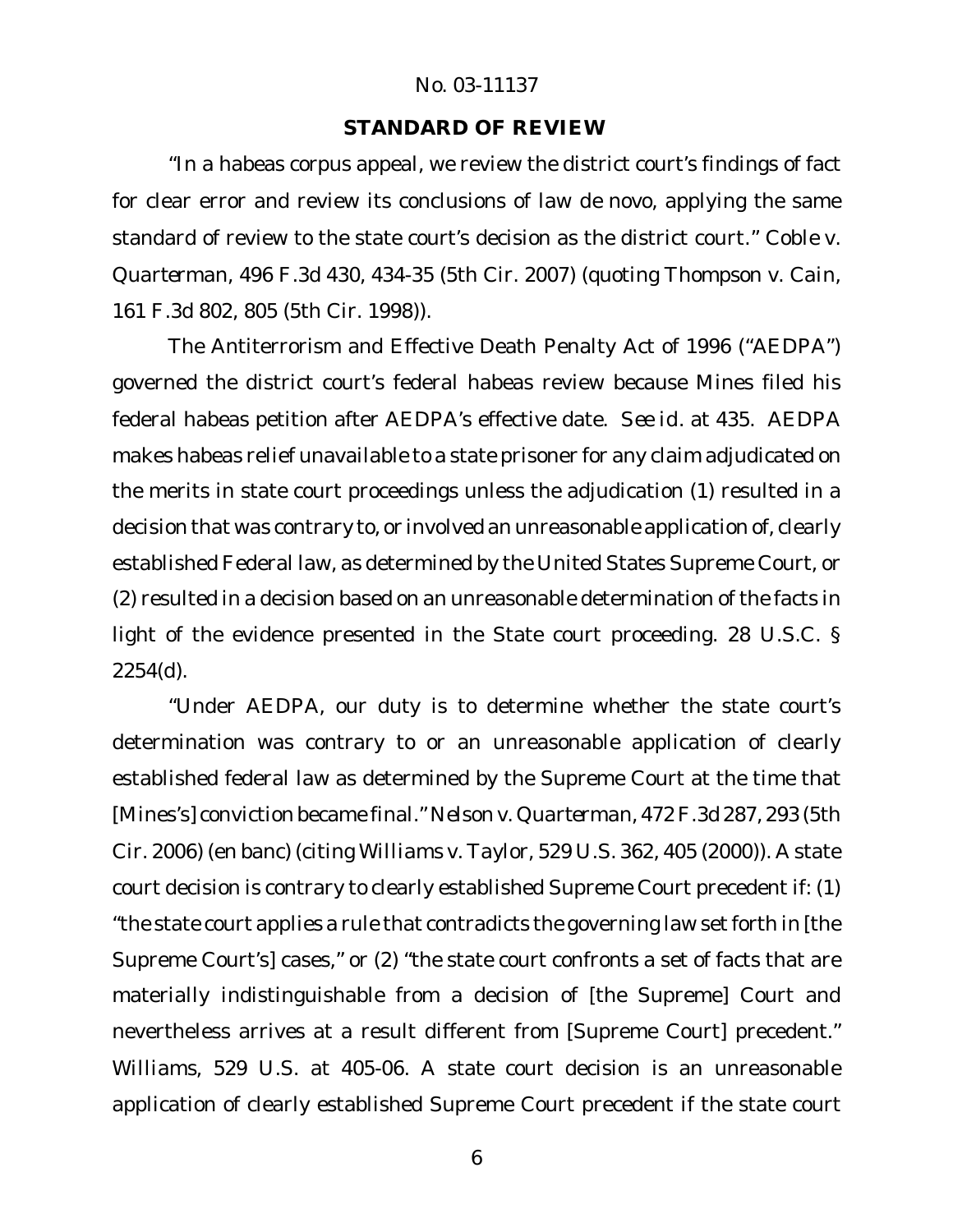#### **STANDARD OF REVIEW**

"In a habeas corpus appeal, we review the district court's findings of fact for clear error and review its conclusions of law *de novo*, applying the same standard of review to the state court's decision as the district court." *Coble v. Quarterman*, 496 F.3d 430, 434-35 (5th Cir. 2007) (quoting *Thompson v. Cain*, 161 F.3d 802, 805 (5th Cir. 1998)).

The Antiterrorism and Effective Death Penalty Act of 1996 ("AEDPA") governed the district court's federal habeas review because Mines filed his federal habeas petition after AEDPA's effective date. *See id.* at 435. AEDPA makes habeas relief unavailable to a state prisoner for any claim adjudicated on the merits in state court proceedings unless the adjudication (1) resulted in a decision that was contrary to, or involved an unreasonable application of, clearly established Federal law, as determined by the United States Supreme Court, or (2) resulted in a decision based on an unreasonable determination of the facts in light of the evidence presented in the State court proceeding. 28 U.S.C. § 2254(d).

"Under AEDPA, our duty is to determine whether the state court's determination was contrary to or an unreasonable application of clearly established federal law as determined by the Supreme Court at the time that [Mines's] conviction became final." *Nelson v. Quarterman*, 472F.3d 287, 293 (5th Cir. 2006) (en banc) (citing *Williams v. Taylor*, 529 U.S. 362, 405 (2000)). A state court decision is contrary to clearly established Supreme Court precedent if: (1) "the state court applies a rule that contradicts the governing law setforth in [the Supreme Court's] cases," or (2) "the state court confronts a set of facts that are materially indistinguishable from a decision of [the Supreme] Court and nevertheless arrives at a result different from [Supreme Court] precedent." *Williams*, 529 U.S. at 405-06. A state court decision is an unreasonable application of clearly established Supreme Court precedent if the state court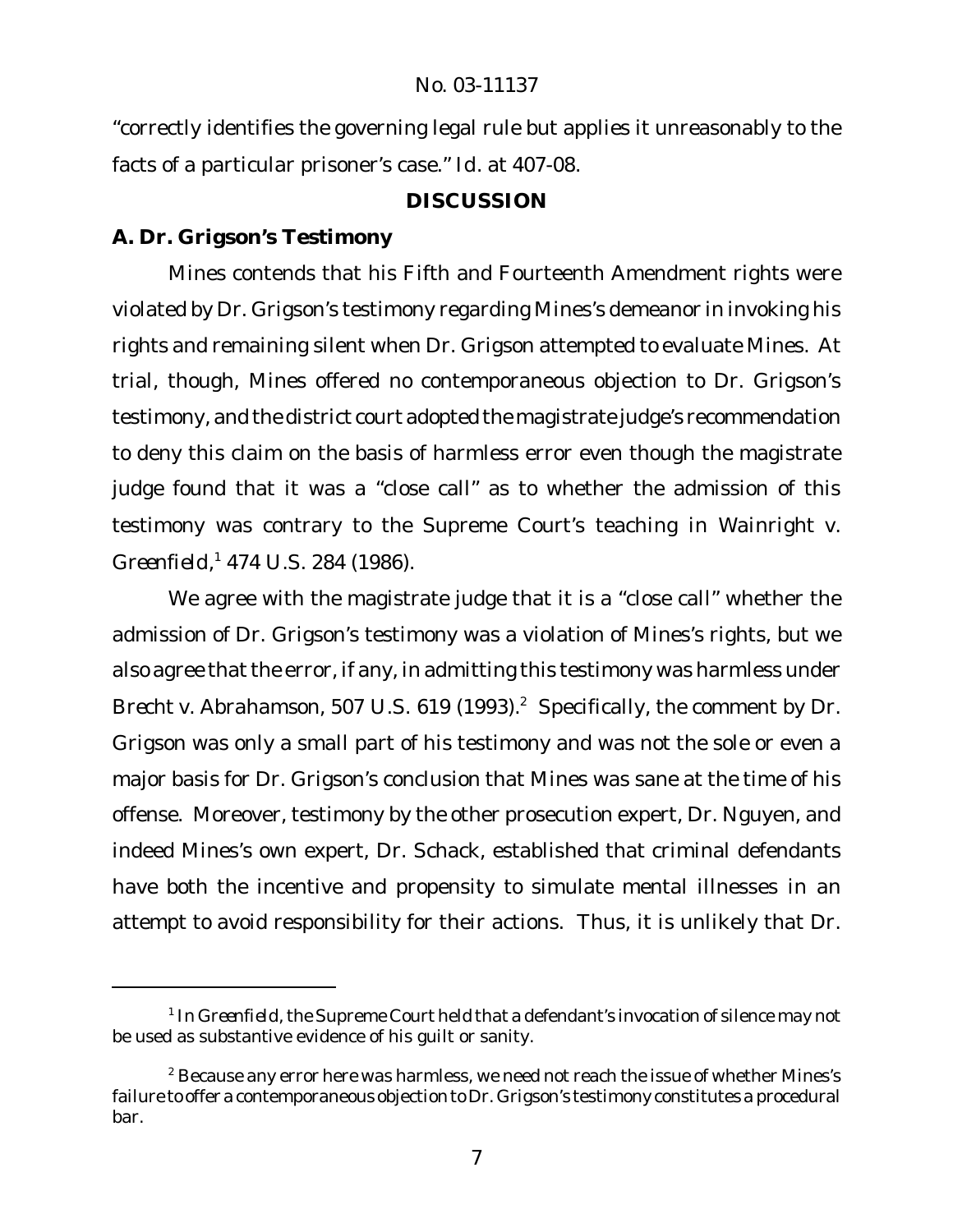"correctly identifies the governing legal rule but applies it unreasonably to the facts of a particular prisoner's case." *Id*. at 407-08.

# **DISCUSSION**

# **A. Dr. Grigson's Testimony**

Mines contends that his Fifth and Fourteenth Amendment rights were violated by Dr. Grigson's testimony regarding Mines's demeanor in invoking his rights and remaining silent when Dr. Grigson attempted to evaluate Mines. At trial, though, Mines offered no contemporaneous objection to Dr. Grigson's testimony, and the district court adopted the magistrate judge's recommendation to deny this claim on the basis of harmless error even though the magistrate judge found that it was a "close call" as to whether the admission of this testimony was contrary to the Supreme Court's teaching in *Wainright v. Greenfield*, <sup>1</sup> 474 U.S. 284 (1986).

We agree with the magistrate judge that it is a "close call" whether the admission of Dr. Grigson's testimony was a violation of Mines's rights, but we also agree that the error, if any, in admitting this testimony was harmless under *Brecht v. Abrahamson, 507 U.S. 619 (1993).*<sup>2</sup> Specifically, the comment by Dr. Grigson was only a small part of his testimony and was not the sole or even a major basis for Dr. Grigson's conclusion that Mines was sane at the time of his offense. Moreover, testimony by the other prosecution expert, Dr. Nguyen, and indeed Mines's own expert, Dr. Schack, established that criminal defendants have both the incentive and propensity to simulate mental illnesses in an attempt to avoid responsibility for their actions. Thus, it is unlikely that Dr.

<sup>&</sup>lt;sup>1</sup> In Greenfield, the Supreme Court held that a defendant's invocation of silence may not be used as substantive evidence of his guilt or sanity.

 $^2$  Because any error here was harmless, we need not reach the issue of whether Mines's failure to offer a contemporaneous objection to Dr. Grigson's testimony constitutes a procedural bar.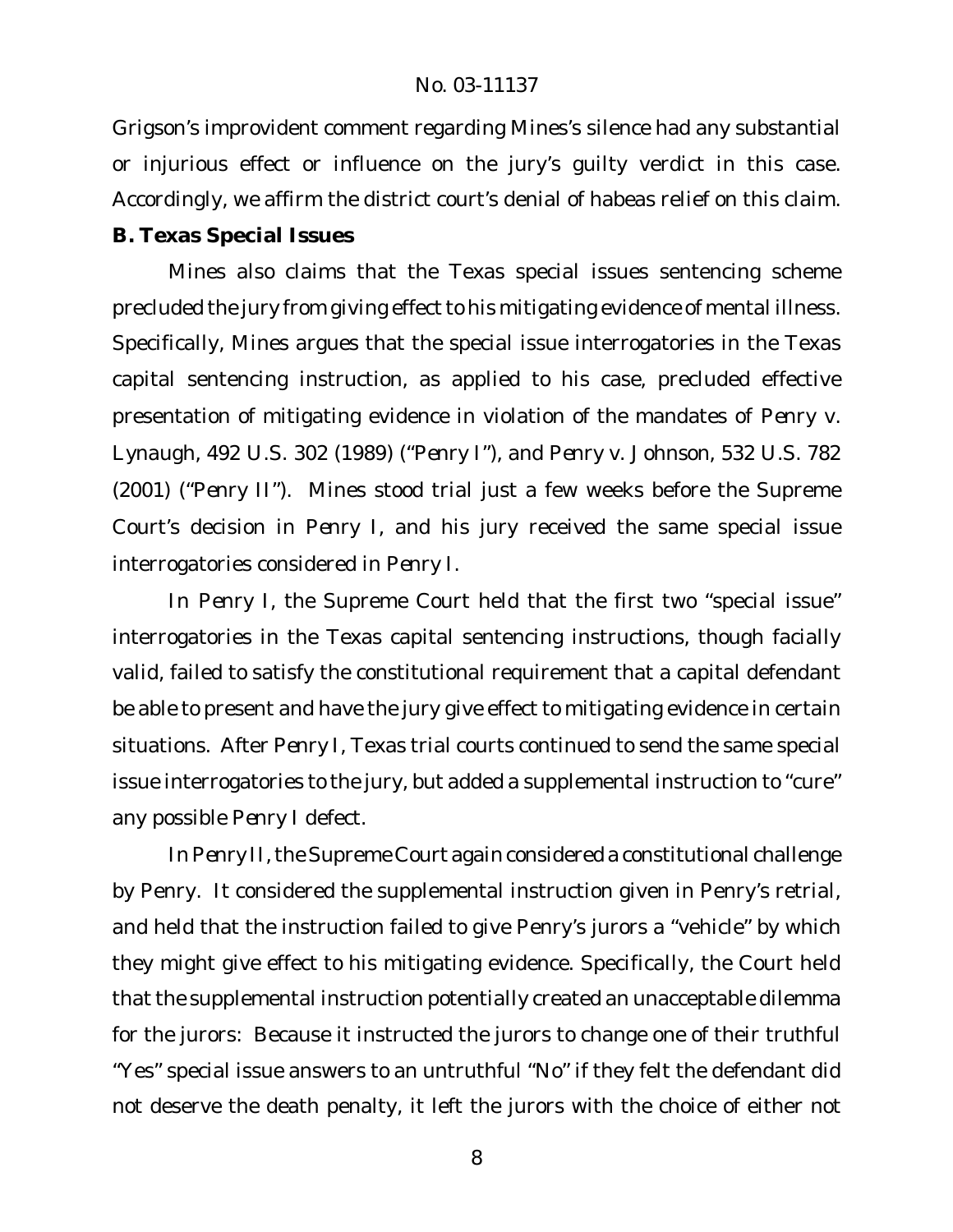Grigson's improvident comment regarding Mines's silence had any substantial or injurious effect or influence on the jury's guilty verdict in this case. Accordingly, we affirm the district court's denial of habeas relief on this claim. **B. Texas Special Issues**

Mines also claims that the Texas special issues sentencing scheme precluded the jury from giving effect to his mitigating evidence of mental illness. Specifically, Mines argues that the special issue interrogatories in the Texas capital sentencing instruction, as applied to his case, precluded effective presentation of mitigating evidence in violation of the mandates of *Penry v. Lynaugh*, 492 U.S. 302 (1989) ("*Penry I*"), and *Penry v. Johnson*, 532 U.S. 782 (2001) ("*Penry II*"). Mines stood trial just a few weeks before the Supreme Court's decision in *Penry I*, and his jury received the same special issue interrogatories considered in *Penry I*.

In *Penry I*, the Supreme Court held that the first two "special issue" interrogatories in the Texas capital sentencing instructions, though facially valid, failed to satisfy the constitutional requirement that a capital defendant be able to present and have the jury give effect to mitigating evidence in certain situations. After *Penry I*, Texas trial courts continued to send the same special issue interrogatories to the jury, but added a supplemental instruction to "cure" any possible *Penry I* defect.

In Penry II, the Supreme Court again considered a constitutional challenge by Penry. It considered the supplemental instruction given in Penry's retrial, and held that the instruction failed to give Penry's jurors a "vehicle" by which they might give effect to his mitigating evidence. Specifically, the Court held that the supplemental instruction potentially created an unacceptable dilemma for the jurors: Because it instructed the jurors to change one of their truthful "Yes" special issue answers to an untruthful "No" if they felt the defendant did not deserve the death penalty, it left the jurors with the choice of either not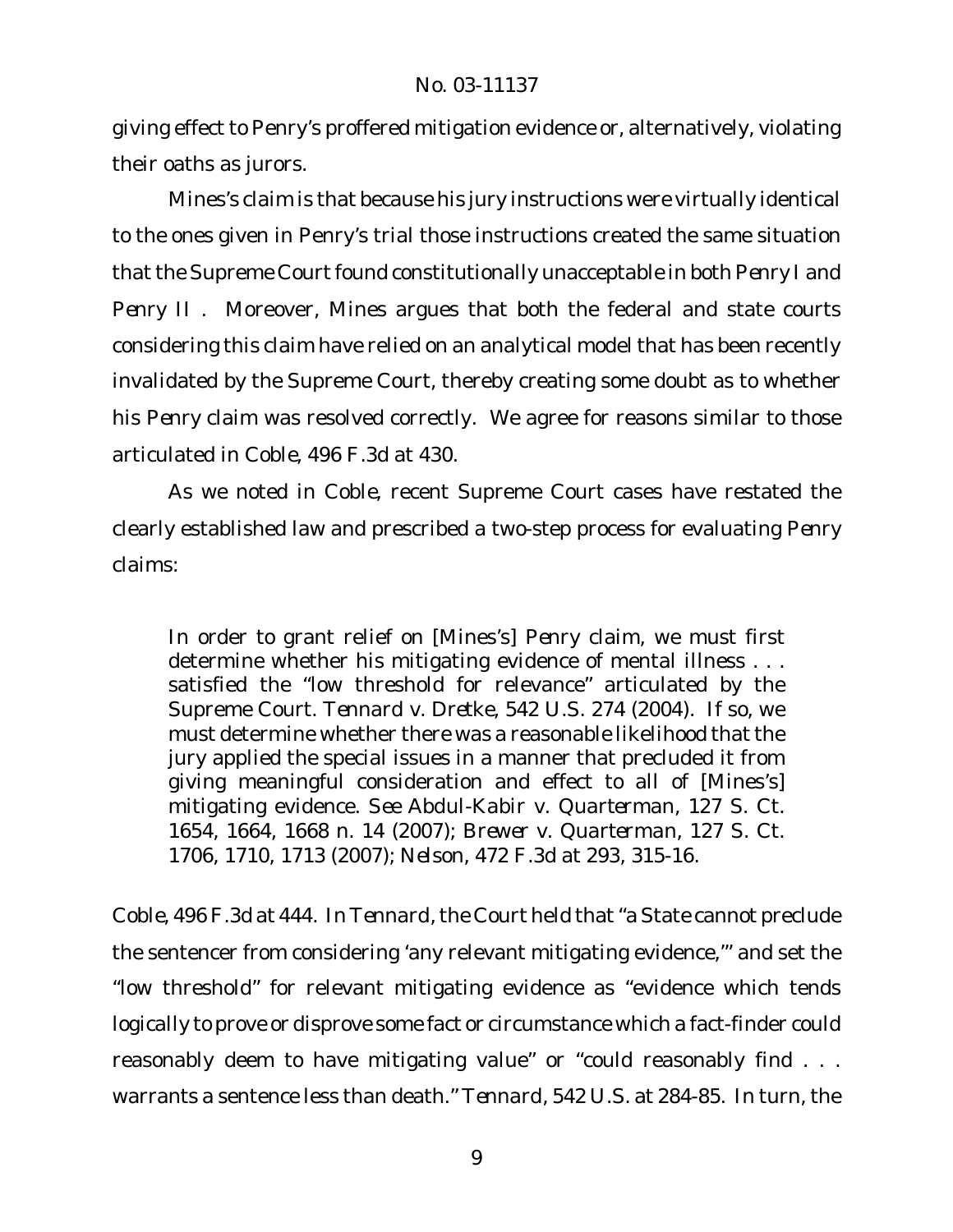giving effect to Penry's proffered mitigation evidence or, alternatively, violating their oaths as jurors.

Mines's claim is that because his jury instructions were virtually identical to the ones given in Penry's trial those instructions created the same situation that the Supreme Court found constitutionally unacceptable in both Penry I and *Penry II* . Moreover, Mines argues that both the federal and state courts considering this claim have relied on an analytical model that has been recently invalidated by the Supreme Court, thereby creating some doubt as to whether his *Penry* claim was resolved correctly. We agree for reasons similar to those articulated in *Coble*, 496 F.3d at 430.

As we noted in *Coble*, recent Supreme Court cases have restated the clearly established law and prescribed a two-step process for evaluating *Penry* claims:

In order to grant relief on [Mines's] *Penry* claim, we must first determine whether his mitigating evidence of mental illness . . . satisfied the "low threshold for relevance" articulated by the Supreme Court. *Tennard v. Dretke*, 542 U.S. 274 (2004). If so, we must determine whether there was a reasonable likelihood that the jury applied the special issues in a manner that precluded it from giving meaningful consideration and effect to all of [Mines's] mitigating evidence. *See Abdul-Kabir v. Quarterman*, 127 S. Ct. 1654, 1664, 1668 n. 14 (2007); *Brewer v. Quarterman*, 127 S. Ct. 1706, 1710, 1713 (2007); *Nelson*, 472 F.3d at 293, 315-16.

*Coble*, 496 F.3d at 444. In *Tennard*,the Court held that"a State cannot preclude the sentencer from considering 'any relevant mitigating evidence,'" and set the "low threshold" for relevant mitigating evidence as "evidence which tends logically to prove or disprove some fact or circumstance which a fact-finder could reasonably deem to have mitigating value" or "could reasonably find . . . warrants a sentence less than death." *Tennard*, 542 U.S. at 284-85. In turn, the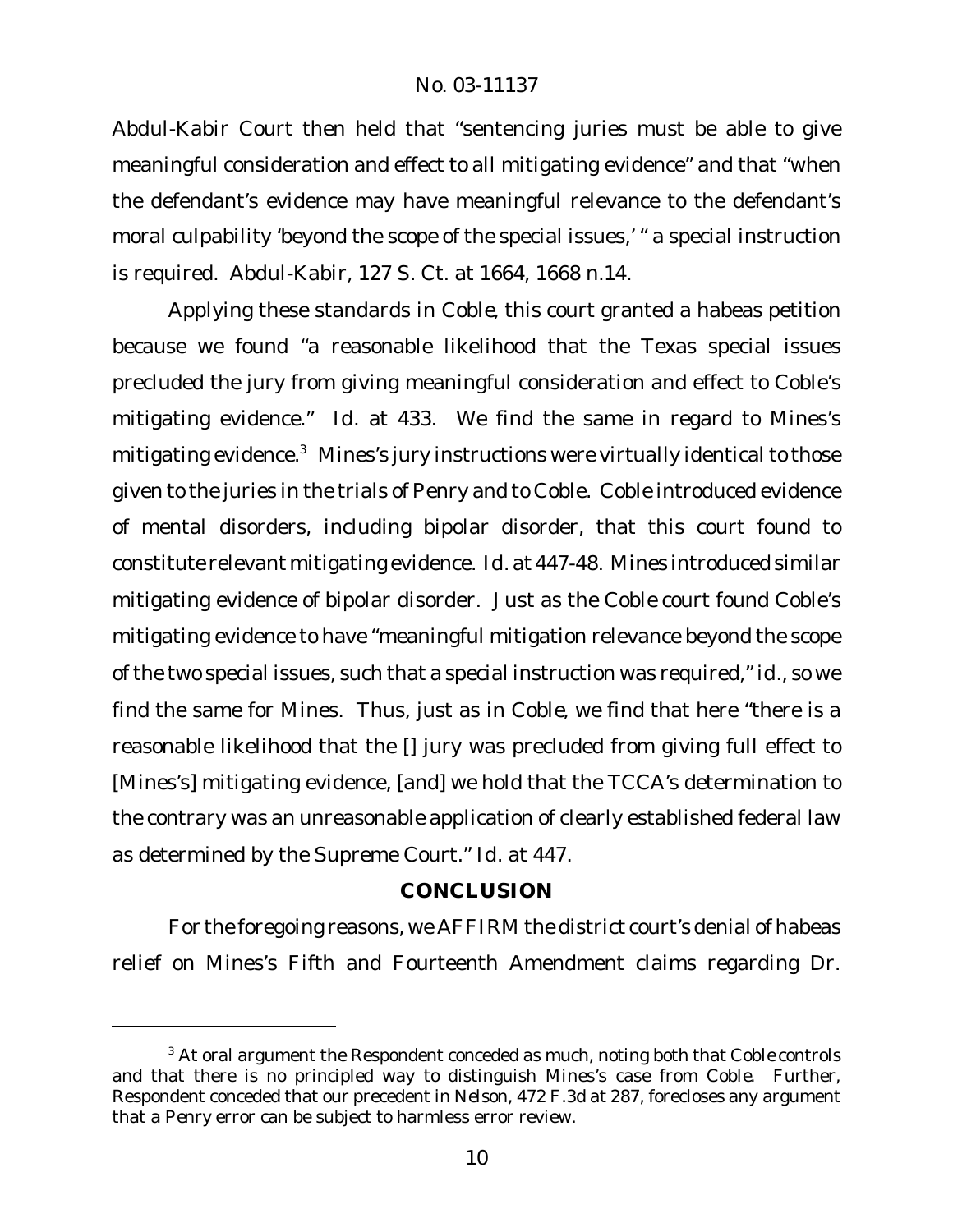*Abdul-Kabir* Court then held that "sentencing juries must be able to give meaningful consideration and effect to all mitigating evidence" and that "when the defendant's evidence may have meaningful relevance to the defendant's moral culpability 'beyond the scope of the special issues,' " a special instruction is required. *Abdul-Kabir*, 127 S. Ct. at 1664, 1668 n.14.

Applying these standards in *Coble*, this court granted a habeas petition because we found "a reasonable likelihood that the Texas special issues precluded the jury from giving meaningful consideration and effect to Coble's mitigating evidence." *Id*. at 433. We find the same in regard to Mines's mitigating evidence.<sup>3</sup> Mines's jury instructions were virtually identical to those given to the juries in the trials of Penry and to Coble. Coble introduced evidence of mental disorders, including bipolar disorder, that this court found to constitute relevant mitigating evidence. *Id.* at 447-48. Mines introduced similar mitigating evidence of bipolar disorder. Just as the *Coble* court found Coble's mitigating evidence to have "meaningful mitigation relevance beyond the scope of the two special issues, such that a special instruction was required," *id.*, so we find the same for Mines. Thus, just as in *Coble*, we find that here "there is a reasonable likelihood that the [] jury was precluded from giving full effect to [Mines's] mitigating evidence, [and] we hold that the TCCA's determination to the contrary was an unreasonable application of clearly established federal law as determined by the Supreme Court." *Id*. at 447.

# **CONCLUSION**

For the foregoing reasons, we AFFIRM the district court's denial of habeas relief on Mines's Fifth and Fourteenth Amendment claims regarding Dr.

<sup>3</sup> At oral argument the Respondent conceded as much, noting both that *Coble* controls and that there is no principled way to distinguish Mines's case from *Coble*. Further, Respondent conceded that our precedent in *Nelson*, 472 F.3d at 287, forecloses any argument that a *Penry* error can be subject to harmless error review.